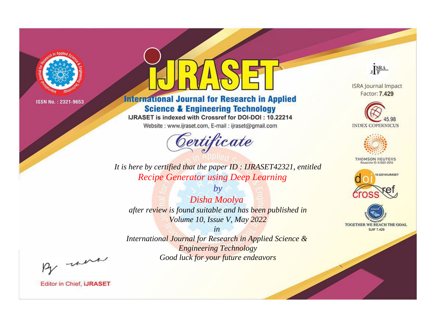

# **International Journal for Research in Applied Science & Engineering Technology**

IJRASET is indexed with Crossref for DOI-DOI: 10.22214

Website: www.ijraset.com, E-mail: ijraset@gmail.com



**ISRA Journal Impact** Factor: 7.429

JERA

**INDEX COPERNICUS** 



**THOMSON REUTERS** 



TOGETHER WE REACH THE GOAL **SJIF 7.429** 

It is here by certified that the paper ID: IJRASET42321, entitled **Recipe Generator using Deep Learning** 

 $by$ Disha Moolya after review is found suitable and has been published in Volume 10, Issue V, May 2022

 $in$ International Journal for Research in Applied Science & **Engineering Technology** Good luck for your future endeavors

By morn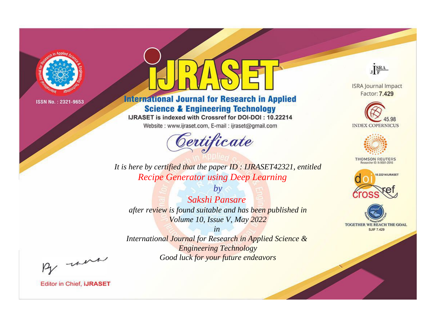

# **International Journal for Research in Applied Science & Engineering Technology**

IJRASET is indexed with Crossref for DOI-DOI: 10.22214

Website: www.ijraset.com, E-mail: ijraset@gmail.com



**ISRA Journal Impact** Factor: 7.429

JERA





**THOMSON REUTERS** 



TOGETHER WE REACH THE GOAL **SJIF 7.429** 

*It is here by certified that the paper ID : IJRASET42321, entitled Recipe Generator using Deep Learning*

*by Sakshi Pansare after review is found suitable and has been published in Volume 10, Issue V, May 2022*

*in* 

*International Journal for Research in Applied Science & Engineering Technology Good luck for your future endeavors*

By morn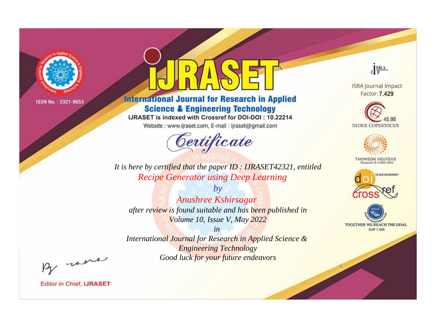

# **International Journal for Research in Applied Science & Engineering Technology**

IJRASET is indexed with Crossref for DOI-DOI: 10.22214

Website: www.ijraset.com, E-mail: ijraset@gmail.com



JERA

**ISRA Journal Impact** Factor: 7.429





**THOMSON REUTERS** 



TOGETHER WE REACH THE GOAL **SJIF 7.429** 

It is here by certified that the paper ID: IJRASET42321, entitled **Recipe Generator using Deep Learning** 

 $b\nu$ Anushree Kshirsagar after review is found suitable and has been published in Volume 10, Issue V, May 2022

 $in$ International Journal for Research in Applied Science & **Engineering Technology** Good luck for your future endeavors

By morn